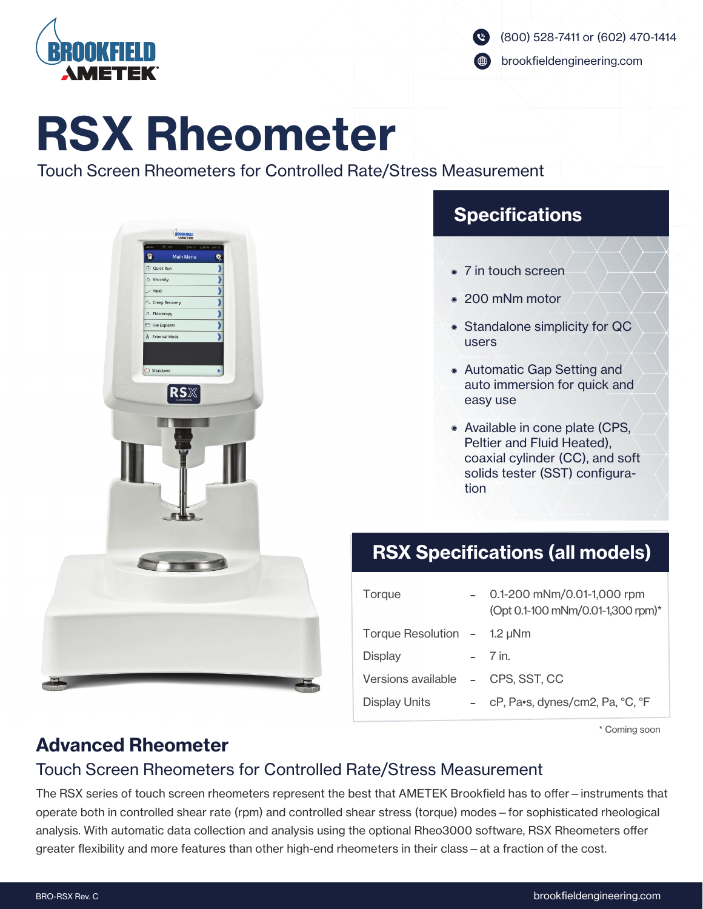

brookfieldengineering.com

# RSX Rheometer

Touch Screen Rheometers for Controlled Rate/Stress Measurement



## **Specifications**

- 7 in touch screen
- 200 mNm motor
- Standalone simplicity for QC users
- Automatic Gap Setting and auto immersion for quick and easy use
- Available in cone plate (CPS, Peltier and Fluid Heated), coaxial cylinder (CC), and soft solids tester (SST) configuration

## RSX Specifications (all models)

| Torque                            | 0.1-200 mNm/0.01-1,000 rpm<br>(Opt 0.1-100 mNm/0.01-1,300 rpm)* |
|-----------------------------------|-----------------------------------------------------------------|
| Torque Resolution $-1.2 \mu Nm$   |                                                                 |
| Display                           | $-7$ in.                                                        |
| Versions available - CPS, SST, CC |                                                                 |
| Display Units                     | cP, Pa•s, dynes/cm2, Pa, °C, °F                                 |

\* Coming soon

## Advanced Rheometer

### Touch Screen Rheometers for Controlled Rate/Stress Measurement

The RSX series of touch screen rheometers represent the best that AMETEK Brookfield has to offer – instruments that operate both in controlled shear rate (rpm) and controlled shear stress (torque) modes—for sophisticated rheological analysis. With automatic data collection and analysis using the optional Rheo3000 software, RSX Rheometers offer greater flexibility and more features than other high-end rheometers in their class—at a fraction of the cost.